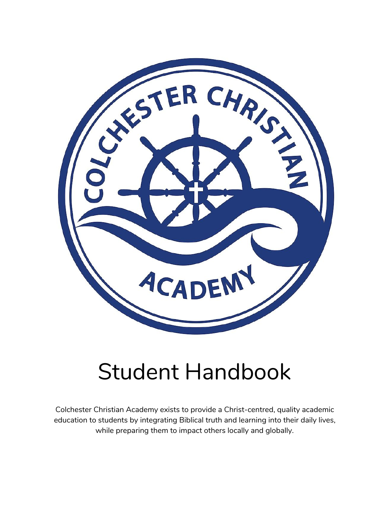

# Student Handbook

Colchester Christian Academy exists to provide a Christ-centred, quality academic education to students by integrating Biblical truth and learning into their daily lives, while preparing them to impact others locally and globally.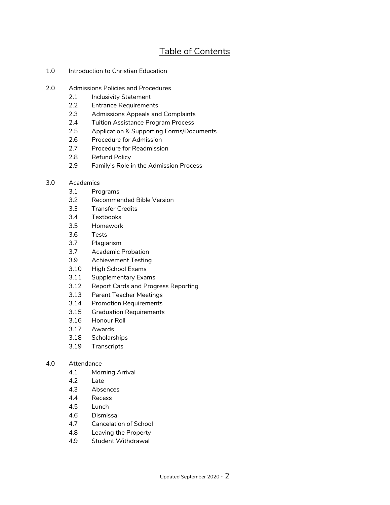# Table of Contents

- 1.0 Introduction to Christian Education
- 2.0 Admissions Policies and Procedures
	- 2.1 Inclusivity Statement
	- 2.2 Entrance Requirements
	- 2.3 Admissions Appeals and Complaints
	- 2.4 Tuition Assistance Program Process
	- 2.5 Application & Supporting Forms/Documents
	- 2.6 Procedure for Admission
	- 2.7 Procedure for Readmission
	- 2.8 Refund Policy
	- 2.9 Family's Role in the Admission Process
- 3.0 Academics
	- 3.1 Programs
	- 3.2 Recommended Bible Version
	- 3.3 Transfer Credits
	- 3.4 Textbooks
	- 3.5 Homework
	- 3.6 Tests
	- 3.7 Plagiarism
	- 3.7 Academic Probation
	- 3.9 Achievement Testing
	- 3.10 High School Exams
	- 3.11 Supplementary Exams
	- 3.12 Report Cards and Progress Reporting
	- 3.13 Parent Teacher Meetings
	- 3.14 Promotion Requirements
	- 3.15 Graduation Requirements
	- 3.16 Honour Roll
	- 3.17 Awards
	- 3.18 Scholarships
	- 3.19 Transcripts

#### 4.0 Attendance

- 4.1 Morning Arrival
- 4.2 Late
- 4.3 Absences
- 4.4 Recess
- 4.5 Lunch
- 4.6 Dismissal
- 4.7 Cancelation of School
- 4.8 Leaving the Property
- 4.9 Student Withdrawal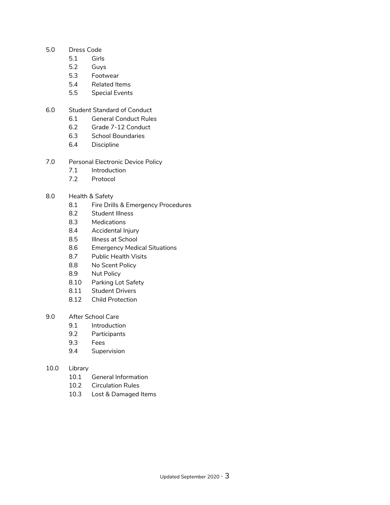- 5.0 Dress Code
	- 5.1 Girls
	- 5.2 Guys
	- 5.3 Footwear
	- 5.4 Related Items
	- 5.5 Special Events
- 6.0 Student Standard of Conduct
	- 6.1 General Conduct Rules
	- 6.2 Grade 7-12 Conduct
	- 6.3 School Boundaries
	- 6.4 Discipline
- 7.0 Personal Electronic Device Policy
	- 7.1 Introduction
	- 7.2 Protocol

#### 8.0 Health & Safety

- 8.1 Fire Drills & Emergency Procedures
- 8.2 Student Illness
- 8.3 Medications
- 8.4 Accidental Injury
- 8.5 Illness at School
- 8.6 Emergency Medical Situations
- 8.7 Public Health Visits
- 8.8 No Scent Policy
- 8.9 Nut Policy
- 8.10 Parking Lot Safety
- 8.11 Student Drivers
- 8.12 Child Protection
- 9.0 After School Care
	- 9.1 Introduction
	- 9.2 Participants
	- 9.3 Fees
	- 9.4 Supervision

#### 10.0 Library

- 10.1 General Information
- 10.2 Circulation Rules
- 10.3 Lost & Damaged Items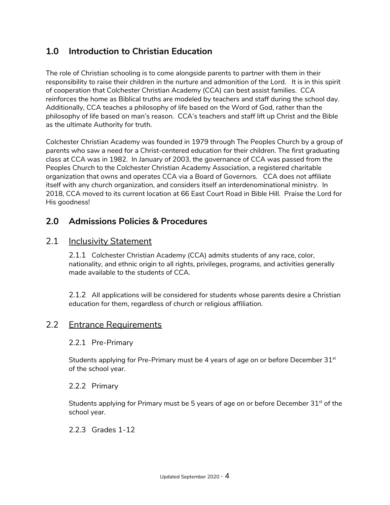# **1.0 Introduction to Christian Education**

The role of Christian schooling is to come alongside parents to partner with them in their responsibility to raise their children in the nurture and admonition of the Lord. It is in this spirit of cooperation that Colchester Christian Academy (CCA) can best assist families. CCA reinforces the home as Biblical truths are modeled by teachers and staff during the school day. Additionally, CCA teaches a philosophy of life based on the Word of God, rather than the philosophy of life based on man's reason. CCA's teachers and staff lift up Christ and the Bible as the ultimate Authority for truth.

Colchester Christian Academy was founded in 1979 through The Peoples Church by a group of parents who saw a need for a Christ-centered education for their children. The first graduating class at CCA was in 1982. In January of 2003, the governance of CCA was passed from the Peoples Church to the Colchester Christian Academy Association, a registered charitable organization that owns and operates CCA via a Board of Governors. CCA does not affiliate itself with any church organization, and considers itself an interdenominational ministry. In 2018, CCA moved to its current location at 66 East Court Road in Bible Hill. Praise the Lord for His goodness!

## **2.0 Admissions Policies & Procedures**

## 2.1 Inclusivity Statement

2.1.1 Colchester Christian Academy (CCA) admits students of any race, color, nationality, and ethnic origin to all rights, privileges, programs, and activities generally made available to the students of CCA.

2.1.2 All applications will be considered for students whose parents desire a Christian education for them, regardless of church or religious affiliation.

## 2.2 Entrance Requirements

#### 2.2.1 Pre-Primary

Students applying for Pre-Primary must be 4 years of age on or before December 3 $1^\mathrm{st}$ of the school year.

#### 2.2.2 Primary

Students applying for Primary must be 5 years of age on or before December 31 $^{\rm st}$  of the school year.

#### 2.2.3 Grades 1-12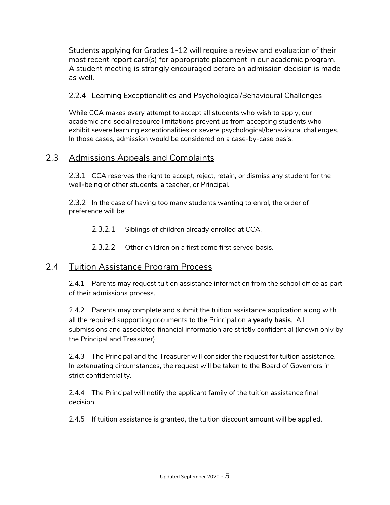Students applying for Grades 1-12 will require a review and evaluation of their most recent report card(s) for appropriate placement in our academic program. A student meeting is strongly encouraged before an admission decision is made as well.

2.2.4 Learning Exceptionalities and Psychological/Behavioural Challenges

While CCA makes every attempt to accept all students who wish to apply, our academic and social resource limitations prevent us from accepting students who exhibit severe learning exceptionalities or severe psychological/behavioural challenges. In those cases, admission would be considered on a case-by-case basis.

# 2.3 Admissions Appeals and Complaints

2.3.1 CCA reserves the right to accept, reject, retain, or dismiss any student for the well-being of other students, a teacher, or Principal.

2.3.2 In the case of having too many students wanting to enrol, the order of preference will be:

2.3.2.1 Siblings of children already enrolled at CCA.

2.3.2.2 Other children on a first come first served basis.

# 2.4 Tuition Assistance Program Process

2.4.1 Parents may request tuition assistance information from the school office as part of their admissions process.

2.4.2 Parents may complete and submit the tuition assistance application along with all the required supporting documents to the Principal on a **yearly basis**. All submissions and associated financial information are strictly confidential (known only by the Principal and Treasurer).

2.4.3 The Principal and the Treasurer will consider the request for tuition assistance. In extenuating circumstances, the request will be taken to the Board of Governors in strict confidentiality.

2.4.4 The Principal will notify the applicant family of the tuition assistance final decision.

2.4.5 If tuition assistance is granted, the tuition discount amount will be applied.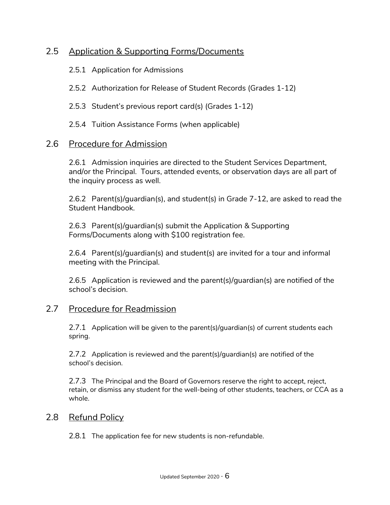# 2.5 Application & Supporting Forms/Documents

2.5.1 Application for Admissions

2.5.2 Authorization for Release of Student Records (Grades 1-12)

- 2.5.3 Student's previous report card(s) (Grades 1-12)
- 2.5.4 Tuition Assistance Forms (when applicable)

#### 2.6 Procedure for Admission

2.6.1 Admission inquiries are directed to the Student Services Department, and/or the Principal. Tours, attended events, or observation days are all part of the inquiry process as well.

2.6.2 Parent(s)/guardian(s), and student(s) in Grade 7-12, are asked to read the Student Handbook.

2.6.3 Parent(s)/guardian(s) submit the Application & Supporting Forms/Documents along with \$100 registration fee.

2.6.4 Parent(s)/guardian(s) and student(s) are invited for a tour and informal meeting with the Principal.

2.6.5 Application is reviewed and the parent(s)/guardian(s) are notified of the school's decision.

#### 2.7 Procedure for Readmission

2.7.1 Application will be given to the parent(s)/guardian(s) of current students each spring.

2.7.2 Application is reviewed and the parent(s)/guardian(s) are notified of the school's decision.

2.7.3 The Principal and the Board of Governors reserve the right to accept, reject, retain, or dismiss any student for the well-being of other students, teachers, or CCA as a whole.

#### 2.8 Refund Policy

2.8.1 The application fee for new students is non-refundable.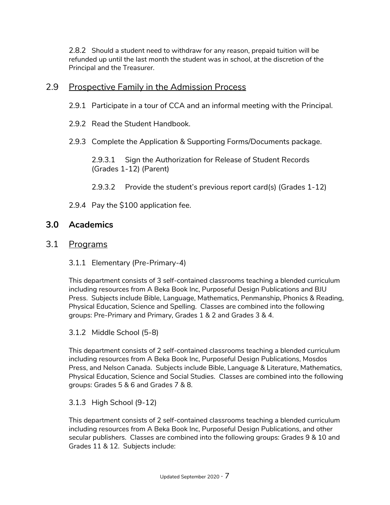2.8.2 Should a student need to withdraw for any reason, prepaid tuition will be refunded up until the last month the student was in school, at the discretion of the Principal and the Treasurer.

## 2.9 Prospective Family in the Admission Process

2.9.1 Participate in a tour of CCA and an informal meeting with the Principal.

- 2.9.2 Read the Student Handbook.
- 2.9.3 Complete the Application & Supporting Forms/Documents package.

2.9.3.1 Sign the Authorization for Release of Student Records (Grades 1-12) (Parent)

- 2.9.3.2 Provide the student's previous report card(s) (Grades 1-12)
- 2.9.4 Pay the \$100 application fee.

## **3.0 Academics**

## 3.1 Programs

3.1.1 Elementary (Pre-Primary-4)

This department consists of 3 self-contained classrooms teaching a blended curriculum including resources from A Beka Book Inc, Purposeful Design Publications and BJU Press. Subjects include Bible, Language, Mathematics, Penmanship, Phonics & Reading, Physical Education, Science and Spelling. Classes are combined into the following groups: Pre-Primary and Primary, Grades 1 & 2 and Grades 3 & 4.

#### 3.1.2 Middle School (5-8)

This department consists of 2 self-contained classrooms teaching a blended curriculum including resources from A Beka Book Inc, Purposeful Design Publications, Mosdos Press, and Nelson Canada. Subjects include Bible, Language & Literature, Mathematics, Physical Education, Science and Social Studies. Classes are combined into the following groups: Grades 5 & 6 and Grades 7 & 8.

#### 3.1.3 High School (9-12)

This department consists of 2 self-contained classrooms teaching a blended curriculum including resources from A Beka Book Inc, Purposeful Design Publications, and other secular publishers. Classes are combined into the following groups: Grades 9 & 10 and Grades 11 & 12. Subjects include: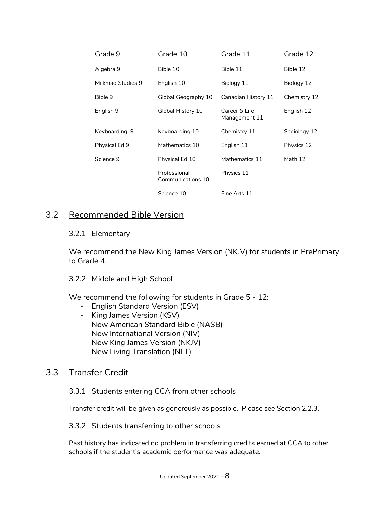| Grade 9           | Grade 10                          | Grade 11                       | Grade 12     |
|-------------------|-----------------------------------|--------------------------------|--------------|
| Algebra 9         | Bible 10                          | Bible 11                       | Bible 12     |
| Mi'kmag Studies 9 | English 10                        | Biology 11                     | Biology 12   |
| Bible 9           | Global Geography 10               | Canadian History 11            | Chemistry 12 |
| English 9         | Global History 10                 | Career & Life<br>Management 11 | English 12   |
| Keyboarding 9     | Keyboarding 10                    | Chemistry 11                   | Sociology 12 |
| Physical Ed 9     | Mathematics 10                    | English 11                     | Physics 12   |
| Science 9         | Physical Ed 10                    | Mathematics 11                 | Math 12      |
|                   | Professional<br>Communications 10 | Physics 11                     |              |
|                   | Science 10                        | Fine Arts 11                   |              |

# 3.2 Recommended Bible Version

#### 3.2.1 Elementary

We recommend the New King James Version (NKJV) for students in PrePrimary to Grade 4.

#### 3.2.2 Middle and High School

We recommend the following for students in Grade 5 - 12:

- English Standard Version (ESV)
- King James Version (KSV)
- New American Standard Bible (NASB)
- New International Version (NIV)
- New King James Version (NKJV)
- New Living Translation (NLT)

## 3.3 Transfer Credit

#### 3.3.1 Students entering CCA from other schools

Transfer credit will be given as generously as possible. Please see Section 2.2.3.

#### 3.3.2 Students transferring to other schools

Past history has indicated no problem in transferring credits earned at CCA to other schools if the student's academic performance was adequate.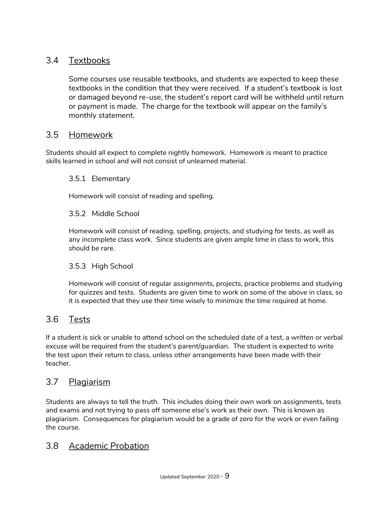# 3.4 Textbooks

Some courses use reusable textbooks, and students are expected to keep these textbooks in the condition that they were received. If a student's textbook is lost or damaged beyond re-use, the student's report card will be withheld until return or payment is made. The charge for the textbook will appear on the family's monthly statement.

## 3.5 Homework

Students should all expect to complete nightly homework. Homework is meant to practice skills learned in school and will not consist of unlearned material.

#### 3.5.1 Elementary

Homework will consist of reading and spelling.

#### 3.5.2 Middle School

Homework will consist of reading, spelling, projects, and studying for tests, as well as any incomplete class work. Since students are given ample time in class to work, this should be rare.

#### 3.5.3 High School

Homework will consist of regular assignments, projects, practice problems and studying for quizzes and tests. Students are given time to work on some of the above in class, so it is expected that they use their time wisely to minimize the time required at home.

# 3.6 Tests

If a student is sick or unable to attend school on the scheduled date of a test, a written or verbal excuse will be required from the student's parent/guardian. The student is expected to write the test upon their return to class, unless other arrangements have been made with their teacher.

# 3.7 Plagiarism

Students are always to tell the truth. This includes doing their own work on assignments, tests and exams and not trying to pass off someone else's work as their own. This is known as plagiarism. Consequences for plagiarism would be a grade of zero for the work or even failing the course.

## 3.8 Academic Probation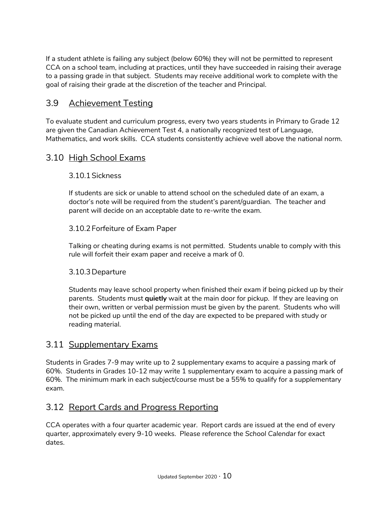If a student athlete is failing any subject (below 60%) they will not be permitted to represent CCA on a school team, including at practices, until they have succeeded in raising their average to a passing grade in that subject. Students may receive additional work to complete with the goal of raising their grade at the discretion of the teacher and Principal.

## 3.9 Achievement Testing

To evaluate student and curriculum progress, every two years students in Primary to Grade 12 are given the Canadian Achievement Test 4, a nationally recognized test of Language, Mathematics, and work skills. CCA students consistently achieve well above the national norm.

## 3.10 High School Exams

#### 3.10.1Sickness

If students are sick or unable to attend school on the scheduled date of an exam, a doctor's note will be required from the student's parent/guardian. The teacher and parent will decide on an acceptable date to re-write the exam.

#### 3.10.2Forfeiture of Exam Paper

Talking or cheating during exams is not permitted. Students unable to comply with this rule will forfeit their exam paper and receive a mark of 0.

#### 3.10.3Departure

Students may leave school property when finished their exam if being picked up by their parents. Students must **quietly** wait at the main door for pickup. If they are leaving on their own, written or verbal permission must be given by the parent. Students who will not be picked up until the end of the day are expected to be prepared with study or reading material.

# 3.11 Supplementary Exams

Students in Grades 7-9 may write up to 2 supplementary exams to acquire a passing mark of 60%. Students in Grades 10-12 may write 1 supplementary exam to acquire a passing mark of 60%. The minimum mark in each subject/course must be a 55% to qualify for a supplementary exam.

# 3.12 Report Cards and Progress Reporting

CCA operates with a four quarter academic year. Report cards are issued at the end of every quarter, approximately every 9-10 weeks. Please reference the *School Calendar* for exact dates.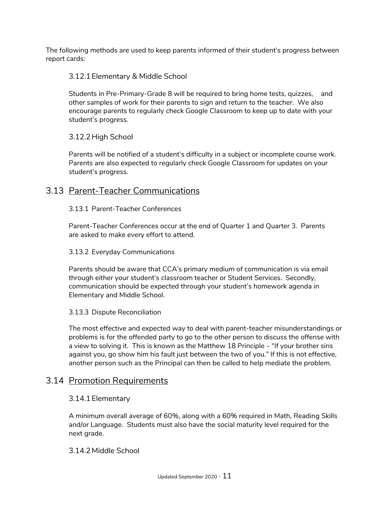The following methods are used to keep parents informed of their student's progress between report cards:

#### 3.12.1Elementary & Middle School

Students in Pre-Primary-Grade 8 will be required to bring home tests, quizzes, and other samples of work for their parents to sign and return to the teacher. We also encourage parents to regularly check Google Classroom to keep up to date with your student's progress.

#### 3.12.2High School

Parents will be notified of a student's difficulty in a subject or incomplete course work. Parents are also expected to regularly check Google Classroom for updates on your student's progress.

## 3.13 Parent-Teacher Communications

#### 3.13.1 Parent-Teacher Conferences

Parent-Teacher Conferences occur at the end of Quarter 1 and Quarter 3. Parents are asked to make every effort to attend.

#### 3.13.2 Everyday Communications

Parents should be aware that CCA's primary medium of communication is via email through either your student's classroom teacher or Student Services. Secondly, communication should be expected through your student's homework agenda in Elementary and Middle School.

#### 3.13.3 Dispute Reconciliation

The most effective and expected way to deal with parent-teacher misunderstandings or problems is for the offended party to go to the other person to discuss the offense with a view to solving it. This is known as the Matthew 18 Principle – "If your brother sins against you, go show him his fault just between the two of you." If this is not effective, another person such as the Principal can then be called to help mediate the problem.

#### 3.14 Promotion Requirements

#### 3.14.1Elementary

A minimum overall average of 60%, along with a 60% required in Math, Reading Skills and/or Language. Students must also have the social maturity level required for the next grade.

#### 3.14.2 Middle School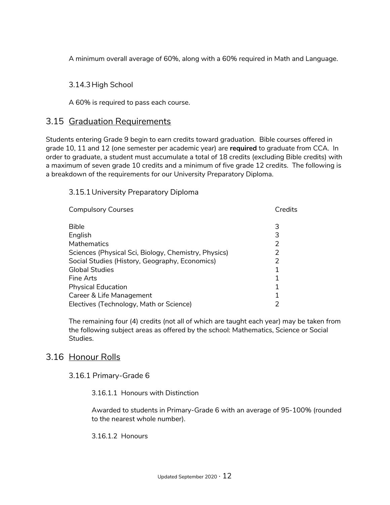A minimum overall average of 60%, along with a 60% required in Math and Language.

#### 3.14.3High School

A 60% is required to pass each course.

#### 3.15 Graduation Requirements

Students entering Grade 9 begin to earn credits toward graduation. Bible courses offered in grade 10, 11 and 12 (one semester per academic year) are **required** to graduate from CCA. In order to graduate, a student must accumulate a total of 18 credits (excluding Bible credits) with a maximum of seven grade 10 credits and a minimum of five grade 12 credits. The following is a breakdown of the requirements for our University Preparatory Diploma.

#### 3.15.1University Preparatory Diploma

| <b>Compulsory Courses</b>                            | Credits |
|------------------------------------------------------|---------|
| Bible                                                | 3       |
| English                                              | 3       |
| Mathematics                                          | 2       |
| Sciences (Physical Sci, Biology, Chemistry, Physics) | 2       |
| Social Studies (History, Geography, Economics)       | 2       |
| <b>Global Studies</b>                                | 1       |
| Fine Arts                                            |         |
| <b>Physical Education</b>                            | 1       |
| Career & Life Management                             |         |
| Electives (Technology, Math or Science)              | 2       |

The remaining four (4) credits (not all of which are taught each year) may be taken from the following subject areas as offered by the school: Mathematics, Science or Social Studies.

## 3.16 Honour Rolls

#### 3.16.1 Primary-Grade 6

3.16.1.1 Honours with Distinction

Awarded to students in Primary-Grade 6 with an average of 95-100% (rounded to the nearest whole number).

3.16.1.2 Honours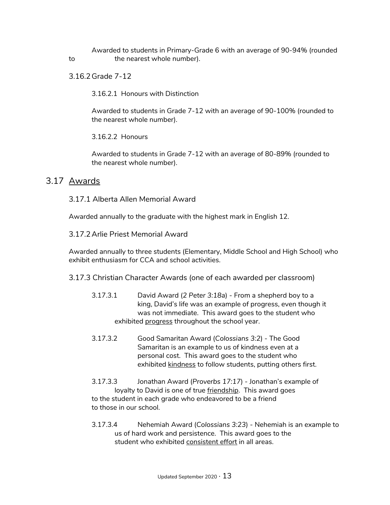Awarded to students in Primary-Grade 6 with an average of 90-94% (rounded to the nearest whole number).

3.16.2Grade 7-12

3.16.2.1 Honours with Distinction

Awarded to students in Grade 7-12 with an average of 90-100% (rounded to the nearest whole number).

3.16.2.2 Honours

Awarded to students in Grade 7-12 with an average of 80-89% (rounded to the nearest whole number).

#### 3.17 Awards

3.17.1 Alberta Allen Memorial Award

Awarded annually to the graduate with the highest mark in English 12.

3.17.2Arlie Priest Memorial Award

Awarded annually to three students (Elementary, Middle School and High School) who exhibit enthusiasm for CCA and school activities.

3.17.3 Christian Character Awards (one of each awarded per classroom)

- 3.17.3.1 David Award (*2 Peter 3:18a*) From a shepherd boy to a king, David's life was an example of progress, even though it was not immediate. This award goes to the student who exhibited progress throughout the school year.
- 3.17.3.2 Good Samaritan Award (*Colossians 3:2*) The Good Samaritan is an example to us of kindness even at a personal cost. This award goes to the student who exhibited kindness to follow students, putting others first.
- 3.17.3.3 Jonathan Award (*Proverbs 17:17*) Jonathan's example of loyalty to David is one of true friendship. This award goes to the student in each grade who endeavored to be a friend to those in our school.
- 3.17.3.4 Nehemiah Award (*Colossians 3:23*) Nehemiah is an example to us of hard work and persistence. This award goes to the student who exhibited consistent effort in all areas.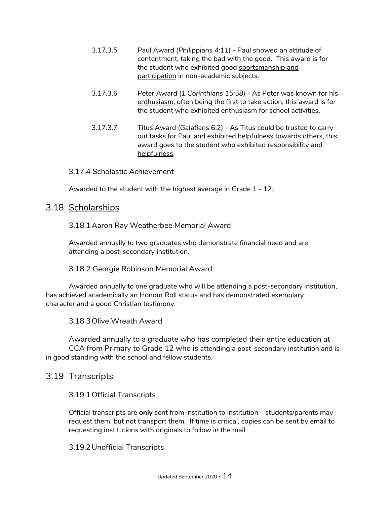- 3.17.3.5 Paul Award (*Philippians 4:11*) Paul showed an attitude of contentment, taking the bad with the good. This award is for the student who exhibited good sportsmanship and participation in non-academic subjects.
- 3.17.3.6 Peter Award (*1 Corinthians 15:58*) As Peter was known for his enthusiasm, often being the first to take action, this award is for the student who exhibited enthusiasm for school activities.
- 3.17.3.7 Titus Award (*Galatians* 6:2) As Titus could be trusted to carry out tasks for Paul and exhibited helpfulness towards others, this award goes to the student who exhibited responsibility and helpfulness.

#### 3.17.4 Scholastic Achievement

Awarded to the student with the highest average in Grade 1 - 12.

## 3.18 Scholarships

#### 3.18.1Aaron Ray Weatherbee Memorial Award

Awarded annually to two graduates who demonstrate financial need and are attending a post-secondary institution.

#### 3.18.2 Georgie Robinson Memorial Award

Awarded annually to one graduate who will be attending a post-secondary institution, has achieved academically an Honour Roll status and has demonstrated exemplary character and a good Christian testimony.

3.18.3Olive Wreath Award

Awarded annually to a graduate who has completed their entire education at CCA from Primary to Grade 12 who is attending a post-secondary institution and is in good standing with the school and fellow students.

## 3.19 Transcripts

#### 3.19.1Official Transcripts

Official transcripts are **only** sent from institution to institution – students/parents may request them, but not transport them. If time is critical, copies can be sent by email to requesting institutions with originals to follow in the mail.

#### 3.19.2Unofficial Transcripts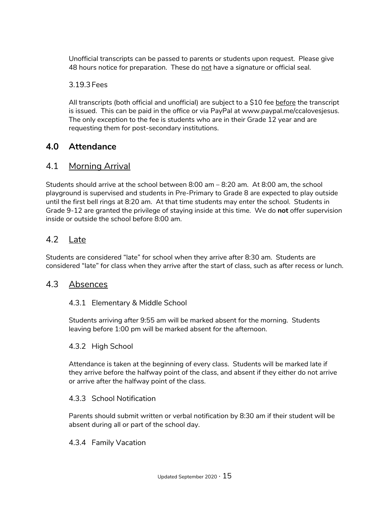Unofficial transcripts can be passed to parents or students upon request. Please give 48 hours notice for preparation. These do not have a signature or official seal.

#### 3.19.3Fees

All transcripts (both official and unofficial) are subject to a \$10 fee before the transcript is issued. This can be paid in the office or via PayPal at www.paypal.me/ccalovesjesus. The only exception to the fee is students who are in their Grade 12 year and are requesting them for post-secondary institutions.

## **4.0 Attendance**

## 4.1 Morning Arrival

Students should arrive at the school between 8:00 am – 8:20 am. At 8:00 am, the school playground is supervised and students in Pre-Primary to Grade 8 are expected to play outside until the first bell rings at 8:20 am. At that time students may enter the school. Students in Grade 9-12 are granted the privilege of staying inside at this time. We do **not** offer supervision inside or outside the school before 8:00 am.

## 4.2 Late

Students are considered "late" for school when they arrive after 8:30 am. Students are considered "late" for class when they arrive after the start of class, such as after recess or lunch.

#### 4.3 Absences

#### 4.3.1 Elementary & Middle School

Students arriving after 9:55 am will be marked absent for the morning. Students leaving before 1:00 pm will be marked absent for the afternoon.

#### 4.3.2 High School

Attendance is taken at the beginning of every class. Students will be marked late if they arrive before the halfway point of the class, and absent if they either do not arrive or arrive after the halfway point of the class.

#### 4.3.3 School Notification

Parents should submit written or verbal notification by 8:30 am if their student will be absent during all or part of the school day.

#### 4.3.4 Family Vacation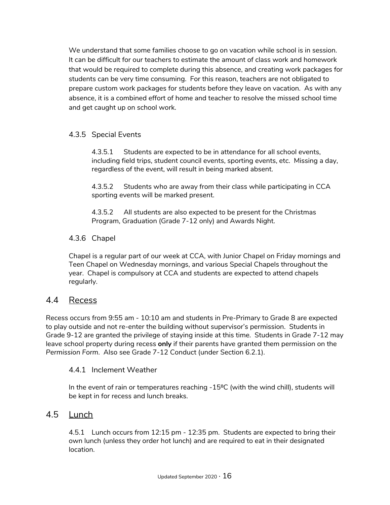We understand that some families choose to go on vacation while school is in session. It can be difficult for our teachers to estimate the amount of class work and homework that would be required to complete during this absence, and creating work packages for students can be very time consuming. For this reason, teachers are not obligated to prepare custom work packages for students before they leave on vacation. As with any absence, it is a combined effort of home and teacher to resolve the missed school time and get caught up on school work.

## 4.3.5 Special Events

4.3.5.1 Students are expected to be in attendance for all school events, including field trips, student council events, sporting events, etc. Missing a day, regardless of the event, will result in being marked absent.

4.3.5.2 Students who are away from their class while participating in CCA sporting events will be marked present.

4.3.5.2 All students are also expected to be present for the Christmas Program, Graduation (Grade 7-12 only) and Awards Night.

#### 4.3.6 Chapel

Chapel is a regular part of our week at CCA, with Junior Chapel on Friday mornings and Teen Chapel on Wednesday mornings, and various Special Chapels throughout the year. Chapel is compulsory at CCA and students are expected to attend chapels regularly.

## 4.4 Recess

Recess occurs from 9:55 am - 10:10 am and students in Pre-Primary to Grade 8 are expected to play outside and not re-enter the building without supervisor's permission. Students in Grade 9-12 are granted the privilege of staying inside at this time. Students in Grade 7-12 may leave school property during recess **only** if their parents have granted them permission on the *Permission Form*. Also see Grade 7-12 Conduct (under Section 6.2.1).

#### 4.4.1 Inclement Weather

In the event of rain or temperatures reaching -15<sup>o</sup>C (with the wind chill), students will be kept in for recess and lunch breaks.

## 4.5 Lunch

4.5.1 Lunch occurs from 12:15 pm - 12:35 pm. Students are expected to bring their own lunch (unless they order hot lunch) and are required to eat in their designated location.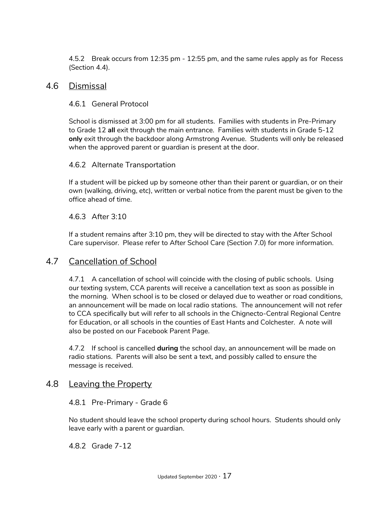4.5.2 Break occurs from 12:35 pm - 12:55 pm, and the same rules apply as for Recess (Section 4.4).

#### 4.6 Dismissal

#### 4.6.1 General Protocol

School is dismissed at 3:00 pm for all students. Families with students in Pre-Primary to Grade 12 **all** exit through the main entrance. Families with students in Grade 5-12 **only** exit through the backdoor along Armstrong Avenue. Students will only be released when the approved parent or guardian is present at the door.

#### 4.6.2 Alternate Transportation

If a student will be picked up by someone other than their parent or guardian, or on their own (walking, driving, etc), written or verbal notice from the parent must be given to the office ahead of time.

#### 4.6.3 After 3:10

If a student remains after 3:10 pm, they will be directed to stay with the After School Care supervisor. Please refer to After School Care (Section 7.0) for more information.

#### 4.7 Cancellation of School

4.7.1 A cancellation of school will coincide with the closing of public schools. Using our texting system, CCA parents will receive a cancellation text as soon as possible in the morning. When school is to be closed or delayed due to weather or road conditions, an announcement will be made on local radio stations. The announcement will not refer to CCA specifically but will refer to all schools in the Chignecto-Central Regional Centre for Education, or all schools in the counties of East Hants and Colchester. A note will also be posted on our Facebook Parent Page.

4.7.2 If school is cancelled **during** the school day, an announcement will be made on radio stations. Parents will also be sent a text, and possibly called to ensure the message is received.

#### 4.8 Leaving the Property

#### 4.8.1 Pre-Primary - Grade 6

No student should leave the school property during school hours. Students should only leave early with a parent or guardian.

4.8.2 Grade 7-12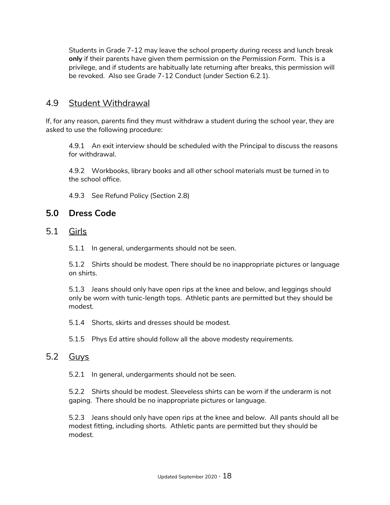Students in Grade 7-12 may leave the school property during recess and lunch break **only** if their parents have given them permission on the *Permission Form*. This is a privilege, and if students are habitually late returning after breaks, this permission will be revoked. Also see Grade 7-12 Conduct (under Section 6.2.1).

## 4.9 Student Withdrawal

If, for any reason, parents find they must withdraw a student during the school year, they are asked to use the following procedure:

4.9.1 An exit interview should be scheduled with the Principal to discuss the reasons for withdrawal.

4.9.2 Workbooks, library books and all other school materials must be turned in to the school office.

4.9.3 See Refund Policy (Section 2.8)

# **5.0 Dress Code**

- 5.1 Girls
	- 5.1.1 In general, undergarments should not be seen.

5.1.2 Shirts should be modest. There should be no inappropriate pictures or language on shirts.

5.1.3 Jeans should only have open rips at the knee and below, and leggings should only be worn with tunic-length tops. Athletic pants are permitted but they should be modest.

- 5.1.4 Shorts, skirts and dresses should be modest.
- 5.1.5 Phys Ed attire should follow all the above modesty requirements.

# 5.2 Guys

5.2.1 In general, undergarments should not be seen.

5.2.2 Shirts should be modest. Sleeveless shirts can be worn if the underarm is not gaping. There should be no inappropriate pictures or language.

5.2.3 Jeans should only have open rips at the knee and below. All pants should all be modest fitting, including shorts. Athletic pants are permitted but they should be modest.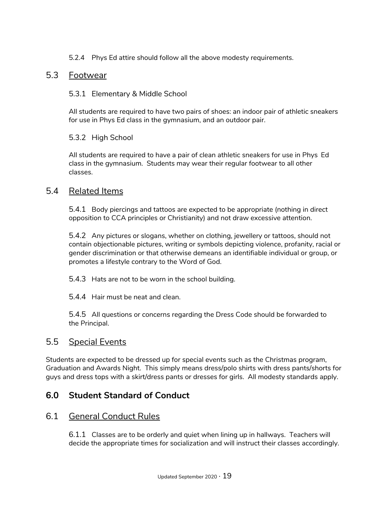5.2.4 Phys Ed attire should follow all the above modesty requirements.

## 5.3 Footwear

#### 5.3.1 Elementary & Middle School

All students are required to have two pairs of shoes: an indoor pair of athletic sneakers for use in Phys Ed class in the gymnasium, and an outdoor pair.

#### 5.3.2 High School

All students are required to have a pair of clean athletic sneakers for use in Phys Ed class in the gymnasium. Students may wear their regular footwear to all other classes.

## 5.4 Related Items

5.4.1 Body piercings and tattoos are expected to be appropriate (nothing in direct opposition to CCA principles or Christianity) and not draw excessive attention.

5.4.2 Any pictures or slogans, whether on clothing, jewellery or tattoos, should not contain objectionable pictures, writing or symbols depicting violence, profanity, racial or gender discrimination or that otherwise demeans an identifiable individual or group, or promotes a lifestyle contrary to the Word of God.

5.4.3 Hats are not to be worn in the school building.

5.4.4 Hair must be neat and clean.

5.4.5 All questions or concerns regarding the Dress Code should be forwarded to the Principal.

## 5.5 Special Events

Students are expected to be dressed up for special events such as the Christmas program, Graduation and Awards Night. This simply means dress/polo shirts with dress pants/shorts for guys and dress tops with a skirt/dress pants or dresses for girls. All modesty standards apply.

# **6.0 Student Standard of Conduct**

## 6.1 General Conduct Rules

6.1.1 Classes are to be orderly and quiet when lining up in hallways. Teachers will decide the appropriate times for socialization and will instruct their classes accordingly.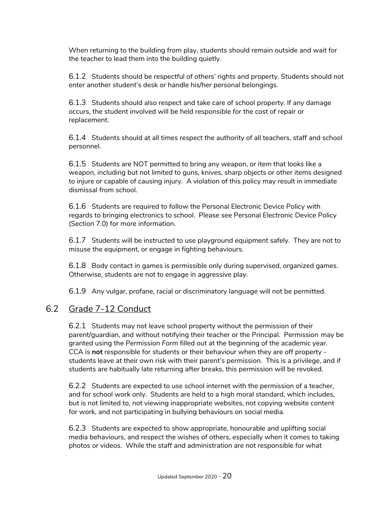When returning to the building from play, students should remain outside and wait for the teacher to lead them into the building quietly.

6.1.2 Students should be respectful of others' rights and property. Students should not enter another student's desk or handle his/her personal belongings.

6.1.3 Students should also respect and take care of school property. If any damage occurs, the student involved will be held responsible for the cost of repair or replacement.

6.1.4 Students should at all times respect the authority of all teachers, staff and school personnel.

6.1.5 Students are NOT permitted to bring any weapon, or item that looks like a weapon, including but not limited to guns, knives, sharp objects or other items designed to injure or capable of causing injury. A violation of this policy may result in immediate dismissal from school.

6.1.6 Students are required to follow the Personal Electronic Device Policy with regards to bringing electronics to school. Please see Personal Electronic Device Policy (Section 7.0) for more information.

6.1.7 Students will be instructed to use playground equipment safely. They are not to misuse the equipment, or engage in fighting behaviours.

6.1.8 Body contact in games is permissible only during supervised, organized games. Otherwise, students are not to engage in aggressive play.

6.1.9 Any vulgar, profane, racial or discriminatory language will not be permitted.

## 6.2 Grade 7-12 Conduct

6.2.1 Students may not leave school property without the permission of their parent/guardian, and without notifying their teacher or the Principal. Permission may be granted using the *Permission Form* filled out at the beginning of the academic year. CCA is **not** responsible for students or their behaviour when they are off property students leave at their own risk with their parent's permission. This is a privilege, and if students are habitually late returning after breaks, this permission will be revoked.

6.2.2 Students are expected to use school internet with the permission of a teacher, and for school work only. Students are held to a high moral standard, which includes, but is not limited to, not viewing inappropriate websites, not copying website content for work, and not participating in bullying behaviours on social media.

6.2.3 Students are expected to show appropriate, honourable and uplifting social media behaviours, and respect the wishes of others, especially when it comes to taking photos or videos. While the staff and administration are not responsible for what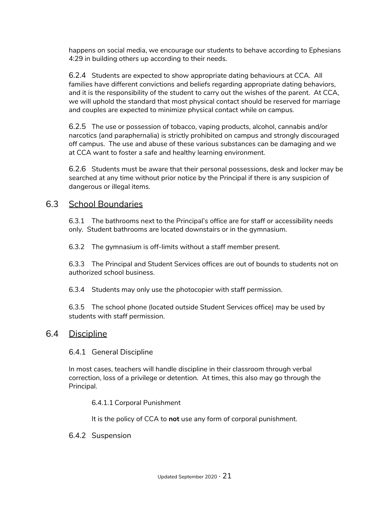happens on social media, we encourage our students to behave according to Ephesians 4:29 in building others up according to their needs.

6.2.4 Students are expected to show appropriate dating behaviours at CCA. All families have different convictions and beliefs regarding appropriate dating behaviors, and it is the responsibility of the student to carry out the wishes of the parent. At CCA, we will uphold the standard that most physical contact should be reserved for marriage and couples are expected to minimize physical contact while on campus.

6.2.5 The use or possession of tobacco, vaping products, alcohol, cannabis and/or narcotics (and paraphernalia) is strictly prohibited on campus and strongly discouraged off campus. The use and abuse of these various substances can be damaging and we at CCA want to foster a safe and healthy learning environment.

6.2.6 Students must be aware that their personal possessions, desk and locker may be searched at any time without prior notice by the Principal if there is any suspicion of dangerous or illegal items.

## 6.3 School Boundaries

6.3.1 The bathrooms next to the Principal's office are for staff or accessibility needs only. Student bathrooms are located downstairs or in the gymnasium.

6.3.2 The gymnasium is off-limits without a staff member present.

6.3.3 The Principal and Student Services offices are out of bounds to students not on authorized school business.

6.3.4 Students may only use the photocopier with staff permission.

6.3.5 The school phone (located outside Student Services office) may be used by students with staff permission.

#### 6.4 Discipline

#### 6.4.1 General Discipline

In most cases, teachers will handle discipline in their classroom through verbal correction, loss of a privilege or detention. At times, this also may go through the Principal.

6.4.1.1 Corporal Punishment

It is the policy of CCA to **not** use any form of corporal punishment.

#### 6.4.2 Suspension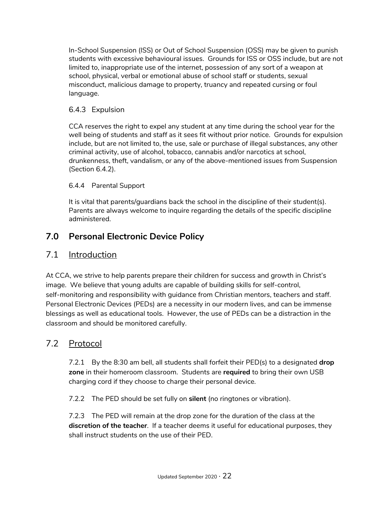In-School Suspension (ISS) or Out of School Suspension (OSS) may be given to punish students with excessive behavioural issues. Grounds for ISS or OSS include, but are not limited to, inappropriate use of the internet, possession of any sort of a weapon at school, physical, verbal or emotional abuse of school staff or students, sexual misconduct, malicious damage to property, truancy and repeated cursing or foul language.

## 6.4.3 Expulsion

CCA reserves the right to expel any student at any time during the school year for the well being of students and staff as it sees fit without prior notice. Grounds for expulsion include, but are not limited to, the use, sale or purchase of illegal substances, any other criminal activity, use of alcohol, tobacco, cannabis and/or narcotics at school, drunkenness, theft, vandalism, or any of the above-mentioned issues from Suspension (Section 6.4.2).

#### 6.4.4 Parental Support

It is vital that parents/guardians back the school in the discipline of their student(s). Parents are always welcome to inquire regarding the details of the specific discipline administered.

# **7.0 Personal Electronic Device Policy**

# 7.1 Introduction

At CCA, we strive to help parents prepare their children for success and growth in Christ's image. We believe that young adults are capable of building skills for self-control, self-monitoring and responsibility with guidance from Christian mentors, teachers and staff. Personal Electronic Devices (PEDs) are a necessity in our modern lives, and can be immense blessings as well as educational tools. However, the use of PEDs can be a distraction in the classroom and should be monitored carefully.

## 7.2 Protocol

7.2.1 By the 8:30 am bell, all students shall forfeit their PED(s) to a designated **drop zone** in their homeroom classroom. Students are **required** to bring their own USB charging cord if they choose to charge their personal device.

7.2.2 The PED should be set fully on **silent** (no ringtones or vibration).

7.2.3 The PED will remain at the drop zone for the duration of the class at the **discretion of the teacher**. If a teacher deems it useful for educational purposes, they shall instruct students on the use of their PED.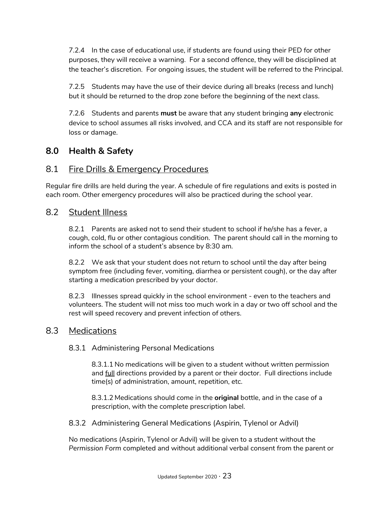7.2.4 In the case of educational use, if students are found using their PED for other purposes, they will receive a warning. For a second offence, they will be disciplined at the teacher's discretion. For ongoing issues, the student will be referred to the Principal.

7.2.5 Students may have the use of their device during all breaks (recess and lunch) but it should be returned to the drop zone before the beginning of the next class.

7.2.6 Students and parents **must** be aware that any student bringing **any** electronic device to school assumes all risks involved, and CCA and its staff are not responsible for loss or damage.

# **8.0 Health & Safety**

## 8.1 Fire Drills & Emergency Procedures

Regular fire drills are held during the year. A schedule of fire regulations and exits is posted in each room. Other emergency procedures will also be practiced during the school year.

## 8.2 Student Illness

8.2.1 Parents are asked not to send their student to school if he/she has a fever, a cough, cold, flu or other contagious condition. The parent should call in the morning to inform the school of a student's absence by 8:30 am.

8.2.2 We ask that your student does not return to school until the day after being symptom free (including fever, vomiting, diarrhea or persistent cough), or the day after starting a medication prescribed by your doctor.

8.2.3 Illnesses spread quickly in the school environment - even to the teachers and volunteers. The student will not miss too much work in a day or two off school and the rest will speed recovery and prevent infection of others.

## 8.3 Medications

#### 8.3.1 Administering Personal Medications

8.3.1.1 No medications will be given to a student without written permission and full directions provided by a parent or their doctor. Full directions include time(s) of administration, amount, repetition, etc.

8.3.1.2 Medications should come in the **original** bottle, and in the case of a prescription, with the complete prescription label.

8.3.2 Administering General Medications (Aspirin, Tylenol or Advil)

No medications (Aspirin, Tylenol or Advil) will be given to a student without the *Permission Form* completed and without additional verbal consent from the parent or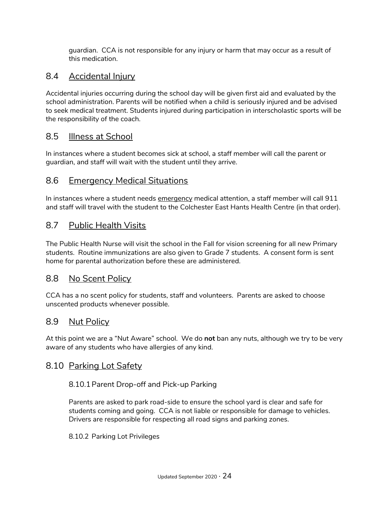guardian. CCA is not responsible for any injury or harm that may occur as a result of this medication.

# 8.4 Accidental Injury

Accidental injuries occurring during the school day will be given first aid and evaluated by the school administration. Parents will be notified when a child is seriously injured and be advised to seek medical treatment. Students injured during participation in interscholastic sports will be the responsibility of the coach.

## 8.5 Illness at School

In instances where a student becomes sick at school, a staff member will call the parent or guardian, and staff will wait with the student until they arrive.

## 8.6 Emergency Medical Situations

In instances where a student needs emergency medical attention, a staff member will call 911 and staff will travel with the student to the Colchester East Hants Health Centre (in that order).

# 8.7 Public Health Visits

The Public Health Nurse will visit the school in the Fall for vision screening for all new Primary students. Routine immunizations are also given to Grade 7 students. A consent form is sent home for parental authorization before these are administered.

## 8.8 No Scent Policy

CCA has a no scent policy for students, staff and volunteers. Parents are asked to choose unscented products whenever possible.

## 8.9 Nut Policy

At this point we are a "Nut Aware" school. We do **not** ban any nuts, although we try to be very aware of any students who have allergies of any kind.

## 8.10 Parking Lot Safety

#### 8.10.1Parent Drop-off and Pick-up Parking

Parents are asked to park road-side to ensure the school yard is clear and safe for students coming and going. CCA is not liable or responsible for damage to vehicles. Drivers are responsible for respecting all road signs and parking zones.

8.10.2 Parking Lot Privileges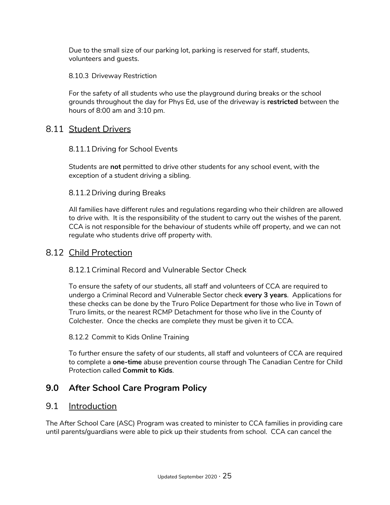Due to the small size of our parking lot, parking is reserved for staff, students, volunteers and guests.

8.10.3 Driveway Restriction

For the safety of all students who use the playground during breaks or the school grounds throughout the day for Phys Ed, use of the driveway is **restricted** between the hours of 8:00 am and 3:10 pm.

## 8.11 Student Drivers

#### 8.11.1Driving for School Events

Students are **not** permitted to drive other students for any school event, with the exception of a student driving a sibling.

#### 8.11.2Driving during Breaks

All families have different rules and regulations regarding who their children are allowed to drive with. It is the responsibility of the student to carry out the wishes of the parent. CCA is not responsible for the behaviour of students while off property, and we can not regulate who students drive off property with.

#### 8.12 Child Protection

#### 8.12.1Criminal Record and Vulnerable Sector Check

To ensure the safety of our students, all staff and volunteers of CCA are required to undergo a Criminal Record and Vulnerable Sector check **every 3 years**. Applications for these checks can be done by the Truro Police Department for those who live in Town of Truro limits, or the nearest RCMP Detachment for those who live in the County of Colchester. Once the checks are complete they must be given it to CCA.

#### 8.12.2 Commit to Kids Online Training

To further ensure the safety of our students, all staff and volunteers of CCA are required to complete a **one-time** abuse prevention course through The Canadian Centre for Child Protection called **Commit to Kids**.

# **9.0 After School Care Program Policy**

#### 9.1 Introduction

The After School Care (ASC) Program was created to minister to CCA families in providing care until parents/guardians were able to pick up their students from school. CCA can cancel the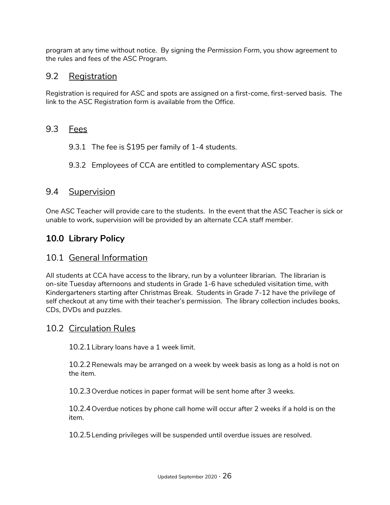program at any time without notice. By signing the *Permission Form*, you show agreement to the rules and fees of the ASC Program.

# 9.2 Registration

Registration is required for ASC and spots are assigned on a first-come, first-served basis. The link to the ASC Registration form is available from the Office.

# 9.3 Fees

- 9.3.1 The fee is \$195 per family of 1-4 students.
- 9.3.2 Employees of CCA are entitled to complementary ASC spots.

## 9.4 Supervision

One ASC Teacher will provide care to the students. In the event that the ASC Teacher is sick or unable to work, supervision will be provided by an alternate CCA staff member.

# **10.0 Library Policy**

## 10.1 General Information

All students at CCA have access to the library, run by a volunteer librarian. The librarian is on-site Tuesday afternoons and students in Grade 1-6 have scheduled visitation time, with Kindergarteners starting after Christmas Break. Students in Grade 7-12 have the privilege of self checkout at any time with their teacher's permission. The library collection includes books, CDs, DVDs and puzzles.

## 10.2 Circulation Rules

10.2.1Library loans have a 1 week limit.

10.2.2Renewals may be arranged on a week by week basis as long as a hold is not on the item.

10.2.3 Overdue notices in paper format will be sent home after 3 weeks.

10.2.4 Overdue notices by phone call home will occur after 2 weeks if a hold is on the item.

10.2.5Lending privileges will be suspended until overdue issues are resolved.